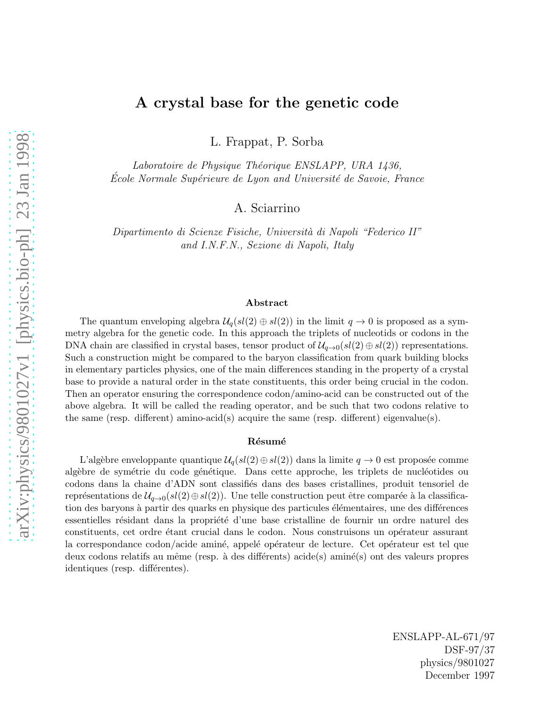## A crystal base for the genetic code

L. Frappat, P. Sorba

Laboratoire de Physique Théorique ENSLAPP, URA 1436, Ecole Normale Supérieure de Lyon and Université de Savoie, France

A. Sciarrino

Dipartimento di Scienze Fisiche, Universit`a di Napoli "Federico II" and I.N.F.N., Sezione di Napoli, Italy

#### Abstract

The quantum enveloping algebra  $\mathcal{U}_q(sl(2) \oplus sl(2))$  in the limit  $q \to 0$  is proposed as a symmetry algebra for the genetic code. In this approach the triplets of nucleotids or codons in the DNA chain are classified in crystal bases, tensor product of  $\mathcal{U}_{q\to 0}(sl(2)\oplus sl(2))$  representations. Such a construction might be compared to the baryon classification from quark building blocks in elementary particles physics, one of the main differences standing in the property of a crystal base to provide a natural order in the state constituents, this order being crucial in the codon. Then an operator ensuring the correspondence codon/amino-acid can be constructed out of the above algebra. It will be called the reading operator, and be such that two codons relative to the same (resp. different) amino-acid(s) acquire the same (resp. different) eigenvalue(s).

#### Résumé

L'algèbre enveloppante quantique  $\mathcal{U}_q(sl(2) \oplus sl(2))$  dans la limite  $q \to 0$  est proposée comme algèbre de symétrie du code génétique. Dans cette approche, les triplets de nucléotides ou codons dans la chaine d'ADN sont classifi´es dans des bases cristallines, produit tensoriel de représentations de  $\mathcal{U}_{q\to 0}(sl(2)\oplus sl(2)).$  Une telle construction peut être comparée à la classification des baryons à partir des quarks en physique des particules élémentaires, une des différences essentielles résidant dans la propriété d'une base cristalline de fournir un ordre naturel des constituents, cet ordre étant crucial dans le codon. Nous construisons un opérateur assurant la correspondance codon/acide aminé, appelé opérateur de lecture. Cet opérateur est tel que deux codons relatifs au même (resp. à des différents) acide(s) aminé(s) ont des valeurs propres identiques (resp. différentes).

> ENSLAPP-AL-671/97 DSF-97/37 physics/9801027 December 1997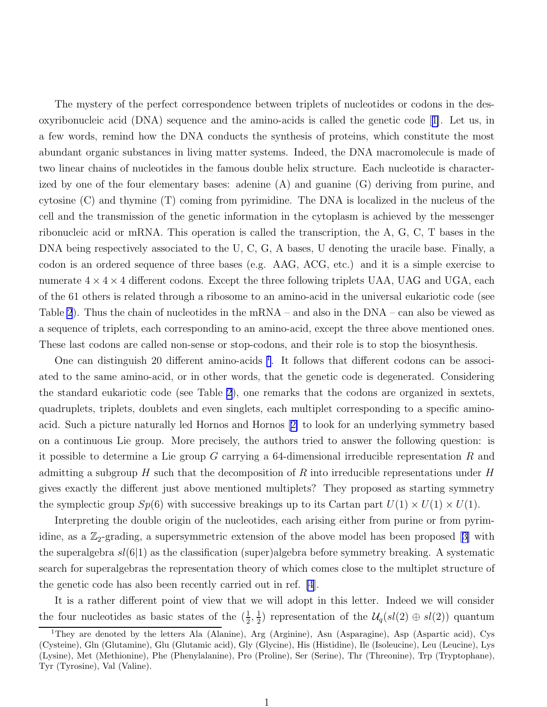The mystery of the perfect correspondence between triplets of nucleotides or codons in the desoxyribonucleic acid (DNA) sequence and the amino-acids is called the genetic code[[1\]](#page-11-0). Let us, in a few words, remind how the DNA conducts the synthesis of proteins, which constitute the most abundant organic substances in living matter systems. Indeed, the DNA macromolecule is made of two linear chains of nucleotides in the famous double helix structure. Each nucleotide is characterized by one of the four elementary bases: adenine (A) and guanine (G) deriving from purine, and cytosine (C) and thymine (T) coming from pyrimidine. The DNA is localized in the nucleus of the cell and the transmission of the genetic information in the cytoplasm is achieved by the messenger ribonucleic acid or mRNA. This operation is called the transcription, the A, G, C, T bases in the DNA being respectively associated to the U, C, G, A bases, U denoting the uracile base. Finally, a codon is an ordered sequence of three bases (e.g. AAG, ACG, etc.) and it is a simple exercise to numerate  $4 \times 4 \times 4$  different codons. Except the three following triplets UAA, UAG and UGA, each of the 61 others is related through a ribosome to an amino-acid in the universal eukariotic code (see Table [2](#page-9-0)). Thus the chain of nucleotides in the mRNA – and also in the DNA – can also be viewed as a sequence of triplets, each corresponding to an amino-acid, except the three above mentioned ones. These last codons are called non-sense or stop-codons, and their role is to stop the biosynthesis.

One can distinguish 20 different amino-acids <sup>1</sup>. It follows that different codons can be associated to the same amino-acid, or in other words, that the genetic code is degenerated. Considering the standard eukariotic code (see Table [2\)](#page-9-0), one remarks that the codons are organized in sextets, quadruplets, triplets, doublets and even singlets, each multiplet corresponding to a specific aminoacid. Such a picture naturally led Hornos and Hornos[[2\]](#page-11-0) to look for an underlying symmetry based on a continuous Lie group. More precisely, the authors tried to answer the following question: is it possible to determine a Lie group G carrying a 64-dimensional irreducible representation R and admitting a subgroup H such that the decomposition of R into irreducible representations under H gives exactly the different just above mentioned multiplets? They proposed as starting symmetry the symplectic group  $Sp(6)$  with successive breakings up to its Cartan part  $U(1) \times U(1) \times U(1)$ .

Interpreting the double origin of the nucleotides, each arising either from purine or from pyrimidine,as a  $\mathbb{Z}_2$ -grading, a supersymmetric extension of the above model has been proposed [[3\]](#page-11-0) with the superalgebra  $sl(6|1)$  as the classification (super)algebra before symmetry breaking. A systematic search for superalgebras the representation theory of which comes close to the multiplet structure of the genetic code has also been recently carried out in ref. [\[4](#page-11-0)].

It is a rather different point of view that we will adopt in this letter. Indeed we will consider the four nucleotides as basic states of the  $(\frac{1}{2}, \frac{1}{2})$  $\frac{1}{2}$  representation of the  $\mathcal{U}_q(sl(2) \oplus sl(2))$  quantum

<sup>&</sup>lt;sup>1</sup>They are denoted by the letters Ala (Alanine), Arg (Arginine), Asn (Asparagine), Asp (Aspartic acid), Cys (Cysteine), Gln (Glutamine), Glu (Glutamic acid), Gly (Glycine), His (Histidine), Ile (Isoleucine), Leu (Leucine), Lys (Lysine), Met (Methionine), Phe (Phenylalanine), Pro (Proline), Ser (Serine), Thr (Threonine), Trp (Tryptophane), Tyr (Tyrosine), Val (Valine).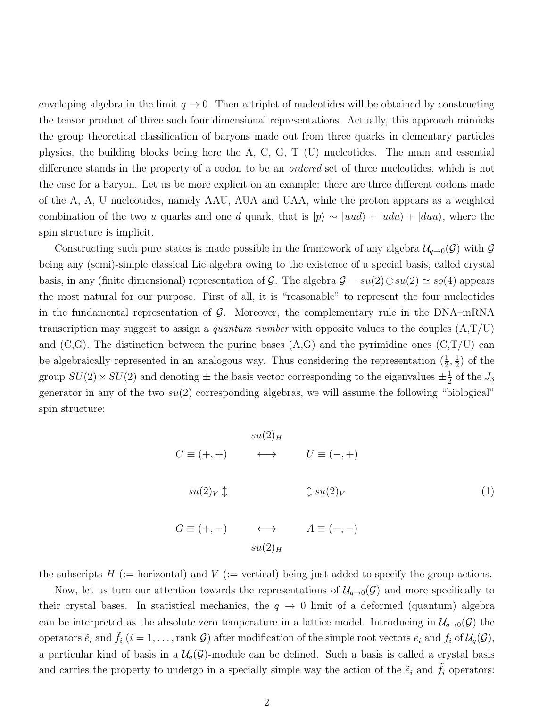<span id="page-2-0"></span>enveloping algebra in the limit  $q \to 0$ . Then a triplet of nucleotides will be obtained by constructing the tensor product of three such four dimensional representations. Actually, this approach mimicks the group theoretical classification of baryons made out from three quarks in elementary particles physics, the building blocks being here the A, C, G, T (U) nucleotides. The main and essential difference stands in the property of a codon to be an ordered set of three nucleotides, which is not the case for a baryon. Let us be more explicit on an example: there are three different codons made of the A, A, U nucleotides, namely AAU, AUA and UAA, while the proton appears as a weighted combination of the two u quarks and one d quark, that is  $|p\rangle \sim |uud\rangle + |udu\rangle + |duu\rangle$ , where the spin structure is implicit.

Constructing such pure states is made possible in the framework of any algebra  $\mathcal{U}_{q\to 0}(\mathcal{G})$  with  $\mathcal G$ being any (semi)-simple classical Lie algebra owing to the existence of a special basis, called crystal basis, in any (finite dimensional) representation of G. The algebra  $\mathcal{G} = su(2) \oplus su(2) \simeq so(4)$  appears the most natural for our purpose. First of all, it is "reasonable" to represent the four nucleotides in the fundamental representation of  $\mathcal{G}$ . Moreover, the complementary rule in the DNA–mRNA transcription may suggest to assign a *quantum number* with opposite values to the couples  $(A, T/U)$ and  $(C, G)$ . The distinction between the purine bases  $(A, G)$  and the pyrimidine ones  $(C, T/U)$  can be algebraically represented in an analogous way. Thus considering the representation  $(\frac{1}{2}, \frac{1}{2})$  $(\frac{1}{2})$  of the group  $SU(2) \times SU(2)$  and denoting  $\pm$  the basis vector corresponding to the eigenvalues  $\pm \frac{1}{2}$  $\frac{1}{2}$  of the  $J_3$ generator in any of the two  $su(2)$  corresponding algebras, we will assume the following "biological" spin structure:

> $su(2)_H$  $C \equiv (+, +)$  ←→  $U \equiv (-, +)$  $su(2)_V \updownarrow$   $\updownarrow su(2)_V$  (1)  $G \equiv (+,-) \qquad \qquad \longleftrightarrow \qquad A \equiv (-,-)$  $su(2)_E$

the subscripts  $H$  (:= horizontal) and  $V$  (:= vertical) being just added to specify the group actions.

Now, let us turn our attention towards the representations of  $\mathcal{U}_{q\to 0}(\mathcal{G})$  and more specifically to their crystal bases. In statistical mechanics, the  $q \to 0$  limit of a deformed (quantum) algebra can be interpreted as the absolute zero temperature in a lattice model. Introducing in  $\mathcal{U}_{q\to 0}(\mathcal{G})$  the operators  $\tilde{e}_i$  and  $\tilde{f}_i$   $(i = 1, ...,$  rank  $\mathcal{G})$  after modification of the simple root vectors  $e_i$  and  $f_i$  of  $\mathcal{U}_q(\mathcal{G})$ , a particular kind of basis in a  $\mathcal{U}_q(\mathcal{G})$ -module can be defined. Such a basis is called a crystal basis and carries the property to undergo in a specially simple way the action of the  $\tilde{e}_i$  and  $f_i$  operators: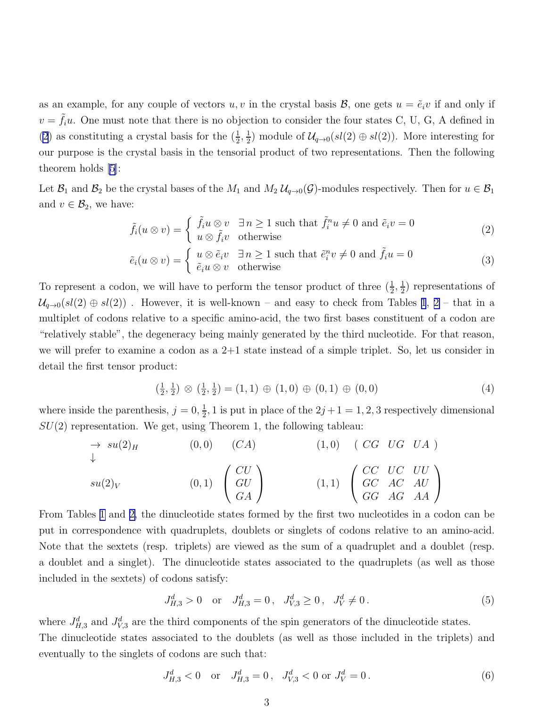<span id="page-3-0"></span>as an example, for any couple of vectors u, v in the crystal basis  $\mathcal{B}$ , one gets  $u = \tilde{e}_i v$  if and only if  $v = \tilde{f}_i u$ . One must note that there is no objection to consider the four states C, U, G, A defined in [\(2](#page-2-0)) as constituting a crystal basis for the  $(\frac{1}{2}, \frac{1}{2})$  $\frac{1}{2}$ ) module of  $\mathcal{U}_{q\to 0}(sl(2) \oplus sl(2))$ . More interesting for our purpose is the crystal basis in the tensorial product of two representations. Then the following theorem holds [\[5\]](#page-11-0):

Let  $\mathcal{B}_1$  and  $\mathcal{B}_2$  be the crystal bases of the  $M_1$  and  $M_2$   $\mathcal{U}_{q\to 0}(\mathcal{G})$ -modules respectively. Then for  $u \in \mathcal{B}_1$ and  $v \in \mathcal{B}_2$ , we have:

$$
\tilde{f}_i(u \otimes v) = \begin{cases} \tilde{f}_i u \otimes v & \exists n \ge 1 \text{ such that } \tilde{f}_i^n u \ne 0 \text{ and } \tilde{e}_i v = 0 \\ u \otimes \tilde{f}_i v & \text{otherwise} \end{cases}
$$
 (2)

$$
\tilde{e}_i(u \otimes v) = \begin{cases} u \otimes \tilde{e}_i v & \exists n \ge 1 \text{ such that } \tilde{e}_i^n v \ne 0 \text{ and } \tilde{f}_i u = 0 \\ \tilde{e}_i u \otimes v & \text{otherwise} \end{cases}
$$
 (3)

To represent a codon, we will have to perform the tensor product of three  $(\frac{1}{2}, \frac{1}{2})$  $(\frac{1}{2})$  representations of  $\mathcal{U}_{q\rightarrow0}(sl(2)\oplus sl(2))$ . However, it is well-known – and easy to check from Tables [1](#page-9-0), [2](#page-9-0) – that in a multiplet of codons relative to a specific amino-acid, the two first bases constituent of a codon are "relatively stable", the degeneracy being mainly generated by the third nucleotide. For that reason, we will prefer to examine a codon as a  $2+1$  state instead of a simple triplet. So, let us consider in detail the first tensor product:

$$
\left(\frac{1}{2},\frac{1}{2}\right) \otimes \left(\frac{1}{2},\frac{1}{2}\right) = (1,1) \oplus (1,0) \oplus (0,1) \oplus (0,0) \tag{4}
$$

where inside the parenthesis,  $j = 0, \frac{1}{2}$  $\frac{1}{2}$ , 1 is put in place of the  $2j+1=1,2,3$  respectively dimensional  $SU(2)$  representation. We get, using Theorem 1, the following tableau:

$$
\rightarrow su(2)_H \qquad (0,0) \qquad (CA) \qquad (1,0) \qquad (CG \quad UG \quad UA)
$$
  

$$
su(2)_V \qquad (0,1) \qquad \begin{pmatrix} CU \\ GU \\ GA \end{pmatrix} \qquad (1,1) \qquad \begin{pmatrix} CC & UC & UU \\ GC & AC & AU \\ GG & AG & AA \end{pmatrix}
$$

From Tables [1](#page-9-0) and [2,](#page-9-0) the dinucleotide states formed by the first two nucleotides in a codon can be put in correspondence with quadruplets, doublets or singlets of codons relative to an amino-acid. Note that the sextets (resp. triplets) are viewed as the sum of a quadruplet and a doublet (resp. a doublet and a singlet). The dinucleotide states associated to the quadruplets (as well as those included in the sextets) of codons satisfy:

$$
J_{H,3}^d > 0 \quad \text{or} \quad J_{H,3}^d = 0 \,, \quad J_{V,3}^d \ge 0 \,, \quad J_V^d \ne 0 \,. \tag{5}
$$

where  $J_{H,3}^d$  and  $J_{V,3}^d$  are the third components of the spin generators of the dinucleotide states. The dinucleotide states associated to the doublets (as well as those included in the triplets) and eventually to the singlets of codons are such that:

$$
J_{H,3}^d < 0 \quad \text{or} \quad J_{H,3}^d = 0 \,, \quad J_{V,3}^d < 0 \text{ or } J_V^d = 0 \,. \tag{6}
$$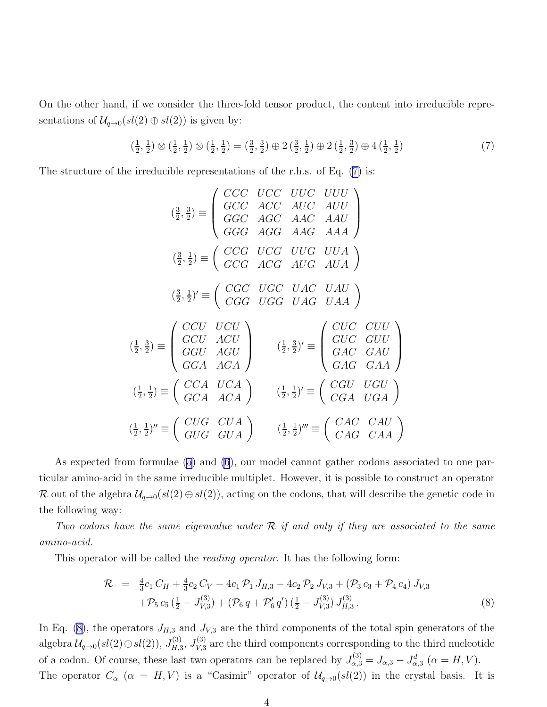On the other hand, if we consider the three-fold tensor product, the content into irreducible representations of  $\mathcal{U}_{q\to 0}(sl(2)\oplus sl(2))$  is given by:

$$
\left(\frac{1}{2},\frac{1}{2}\right)\otimes\left(\frac{1}{2},\frac{1}{2}\right)\otimes\left(\frac{1}{2},\frac{1}{2}\right) = \left(\frac{3}{2},\frac{3}{2}\right)\oplus 2\left(\frac{3}{2},\frac{1}{2}\right)\oplus 2\left(\frac{1}{2},\frac{3}{2}\right)\oplus 4\left(\frac{1}{2},\frac{1}{2}\right)
$$
\n(7)

The structure of the irreducible representations of the r.h.s. of Eq. (7) is:

$$
\left(\frac{3}{2},\frac{3}{2}\right) \equiv \begin{pmatrix} CCC & UCC & UUC & UUU \\ GCC & ACC & AUC & AUU \\ GGC & AGC & AAC & AAU \end{pmatrix}
$$

$$
\left(\frac{3}{2},\frac{1}{2}\right) \equiv \begin{pmatrix} CCG & UCG & UUG & UUA \\ GCG & ACG & AUG & AUA \end{pmatrix}
$$

$$
\left(\frac{3}{2},\frac{1}{2}\right)' \equiv \begin{pmatrix} CGC & UGC & UAC & UAU \\ CGG & UGG & UAG & UAA \end{pmatrix}
$$

$$
\left(\frac{3}{2},\frac{3}{2}\right) \equiv \begin{pmatrix} CCU & UCU \\ GCU & ACU \\ GGU & AGU \\ GGA & AGA \end{pmatrix} \qquad \left(\frac{1}{2},\frac{3}{2}\right)' \equiv \begin{pmatrix} CUC & CUU \\ GUC & GUU \\ GAG & GAA \end{pmatrix}
$$

$$
\left(\frac{1}{2},\frac{1}{2}\right) \equiv \begin{pmatrix} CCA & UCA \\ GCA & ACA \end{pmatrix} \qquad \left(\frac{1}{2},\frac{1}{2}\right)' \equiv \begin{pmatrix} CGU & UGU \\ CGA & UGA \end{pmatrix}
$$

$$
\left(\frac{1}{2},\frac{1}{2}\right)'' \equiv \begin{pmatrix} CUG & CUA \\ GUG & GUA \end{pmatrix} \qquad \left(\frac{1}{2},\frac{1}{2}\right)''' \equiv \begin{pmatrix} CAC & CAU \\ CAG & CAA \end{pmatrix}
$$

As expected from formulae [\(5\)](#page-3-0) and [\(6](#page-3-0)), our model cannot gather codons associated to one particular amino-acid in the same irreducible multiplet. However, it is possible to construct an operator R out of the algebra  $\mathcal{U}_{q\to 0}(sl(2)\oplus sl(2))$ , acting on the codons, that will describe the genetic code in the following way:

Two codons have the same eigenvalue under  $R$  if and only if they are associated to the same amino-acid.

This operator will be called the reading operator. It has the following form:

$$
\mathcal{R} = \frac{4}{3}c_1 C_H + \frac{4}{3}c_2 C_V - 4c_1 \mathcal{P}_1 J_{H,3} - 4c_2 \mathcal{P}_2 J_{V,3} + (\mathcal{P}_3 c_3 + \mathcal{P}_4 c_4) J_{V,3} \n+ \mathcal{P}_5 c_5 (\frac{1}{2} - J_{V,3}^{(3)}) + (\mathcal{P}_6 q + \mathcal{P}_6' q') (\frac{1}{2} - J_{V,3}^{(3)}) J_{H,3}^{(3)}.
$$
\n(8)

In Eq. (8), the operators  $J_{H,3}$  and  $J_{V,3}$  are the third components of the total spin generators of the algebra  $\mathcal{U}_{q\rightarrow 0}(sl(2)\oplus sl(2)),\,J_{H,3}^{(3)}$  $\stackrel{(3)}{H,3}, \stackrel{(3)}{V,3}$  $V_{V,3}^{(5)}$  are the third components corresponding to the third nucleotide of a codon. Of course, these last two operators can be replaced by  $J_{\alpha,3}^{(3)} = J_{\alpha,3} - J_{\alpha,3}^d$  ( $\alpha = H, V$ ). The operator  $C_{\alpha}$  ( $\alpha = H, V$ ) is a "Casimir" operator of  $\mathcal{U}_{q\to 0}(sl(2))$  in the crystal basis. It is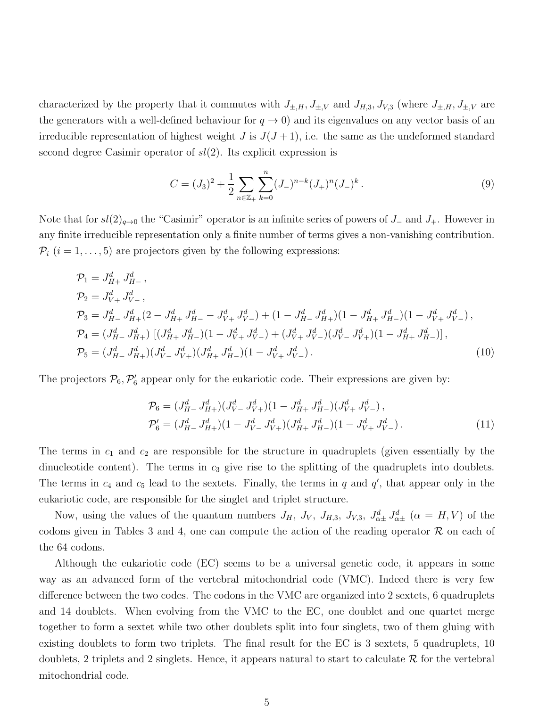characterized by the property that it commutes with  $J_{\pm,H}$ ,  $J_{\pm,V}$  and  $J_{H,3}$ ,  $J_{V,3}$  (where  $J_{\pm,H}$ ,  $J_{\pm,V}$  are the generators with a well-defined behaviour for  $q \to 0$ ) and its eigenvalues on any vector basis of an irreducible representation of highest weight J is  $J(J+1)$ , i.e. the same as the undeformed standard second degree Casimir operator of  $sl(2)$ . Its explicit expression is

$$
C = (J_3)^2 + \frac{1}{2} \sum_{n \in \mathbb{Z}_+} \sum_{k=0}^n (J_-)^{n-k} (J_+)^n (J_-)^k.
$$
 (9)

Note that for  $sl(2)_{q\rightarrow 0}$  the "Casimir" operator is an infinite series of powers of J\_ and J<sub>+</sub>. However in any finite irreducible representation only a finite number of terms gives a non-vanishing contribution.  $P_i$   $(i = 1, \ldots, 5)$  are projectors given by the following expressions:

$$
\mathcal{P}_1 = J_{H+}^d J_{H-}^d,
$$
\n
$$
\mathcal{P}_2 = J_{V+}^d J_{V-}^d,
$$
\n
$$
\mathcal{P}_3 = J_{H-}^d J_{H+}^d (2 - J_{H+}^d J_{H-}^d - J_{V+}^d J_{V-}^d) + (1 - J_{H-}^d J_{H+}^d)(1 - J_{H+}^d J_{H-}^d)(1 - J_{V+}^d J_{V-}^d),
$$
\n
$$
\mathcal{P}_4 = (J_{H-}^d J_{H+}^d) \left[ (J_{H+}^d J_{H-}^d)(1 - J_{V+}^d J_{V-}^d) + (J_{V+}^d J_{V-}^d)(J_{V-}^d J_{V+}^d)(1 - J_{H+}^d J_{H-}^d) \right],
$$
\n
$$
\mathcal{P}_5 = (J_{H-}^d J_{H+}^d)(J_{V-}^d J_{V+}^d)(J_{H+}^d J_{H-}^d)(1 - J_{V+}^d J_{V-}^d).
$$
\n(10)

The projectors  $\mathcal{P}_6, \mathcal{P}'_6$  $n'_{6}$  appear only for the eukariotic code. Their expressions are given by:

$$
\mathcal{P}_6 = (J_{H-}^d J_{H+}^d)(J_{V-}^d J_{V+}^d)(1 - J_{H+}^d J_{H-}^d)(J_{V+}^d J_{V-}^d), \n\mathcal{P}_6' = (J_{H-}^d J_{H+}^d)(1 - J_{V-}^d J_{V+}^d)(J_{H+}^d J_{H-}^d)(1 - J_{V+}^d J_{V-}^d).
$$
\n(11)

The terms in  $c_1$  and  $c_2$  are responsible for the structure in quadruplets (given essentially by the dinucleotide content). The terms in  $c_3$  give rise to the splitting of the quadruplets into doublets. The terms in  $c_4$  and  $c_5$  lead to the sextets. Finally, the terms in q and  $q'$ , that appear only in the eukariotic code, are responsible for the singlet and triplet structure.

Now, using the values of the quantum numbers  $J_H$ ,  $J_V$ ,  $J_{H,3}$ ,  $J_{V,3}$ ,  $J_{\alpha\pm}^d J_{\alpha\pm}^d$  ( $\alpha = H, V$ ) of the codons given in Tables 3 and 4, one can compute the action of the reading operator  $\mathcal R$  on each of the 64 codons.

Although the eukariotic code (EC) seems to be a universal genetic code, it appears in some way as an advanced form of the vertebral mitochondrial code (VMC). Indeed there is very few difference between the two codes. The codons in the VMC are organized into 2 sextets, 6 quadruplets and 14 doublets. When evolving from the VMC to the EC, one doublet and one quartet merge together to form a sextet while two other doublets split into four singlets, two of them gluing with existing doublets to form two triplets. The final result for the EC is 3 sextets, 5 quadruplets, 10 doublets, 2 triplets and 2 singlets. Hence, it appears natural to start to calculate  $\mathcal R$  for the vertebral mitochondrial code.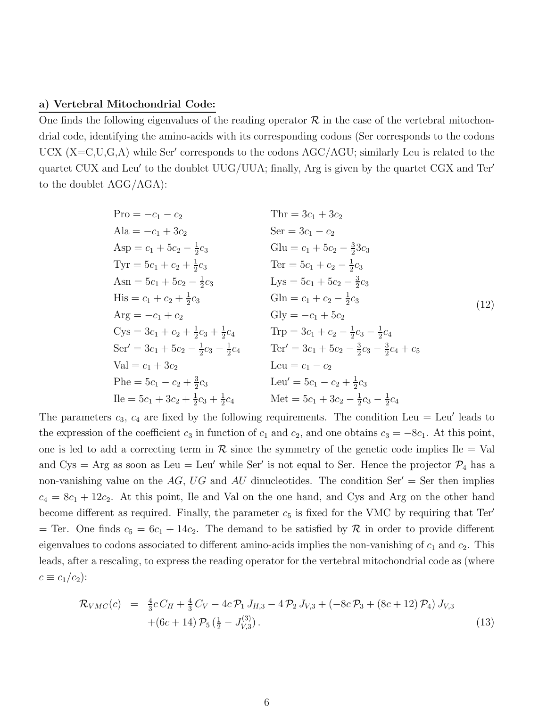#### a) Vertebral Mitochondrial Code:

One finds the following eigenvalues of the reading operator  $\mathcal R$  in the case of the vertebral mitochondrial code, identifying the amino-acids with its corresponding codons (Ser corresponds to the codons UCX (X=C,U,G,A) while Ser' corresponds to the codons AGC/AGU; similarly Leu is related to the quartet CUX and Leu′ to the doublet UUG/UUA; finally, Arg is given by the quartet CGX and Ter′ to the doublet AGG/AGA):

Pro = 
$$
-c_1 - c_2
$$
  
\nAla =  $-c_1 + 3c_2$   
\nAsp =  $c_1 + 5c_2 - \frac{1}{2}c_3$   
\n $Tyr = 5c_1 + c_2 + \frac{1}{2}c_3$   
\n $Asn = 5c_1 + 5c_2 - \frac{1}{2}c_3$   
\n $His = c_1 + c_2 + \frac{1}{2}c_3$   
\n $Asn = 5c_1 + c_2 + \frac{1}{2}c_3$   
\n $Asn = 5c_1 + c_2 + \frac{1}{2}c_3$   
\n $Asn = c_1 + c_2 + \frac{1}{2}c_3$   
\n $Asn = -c_1 + c_2$   
\n $Cys = 3c_1 + c_2 + \frac{1}{2}c_3 + \frac{1}{2}c_4$   
\n $Str' = 3c_1 + 5c_2 - \frac{1}{2}c_3 - \frac{1}{2}c_4$   
\n $Str' = 3c_1 + 5c_2 - \frac{1}{2}c_3 - \frac{1}{2}c_4$   
\n $Str' = 3c_1 + 5c_2 - \frac{1}{2}c_3 - \frac{1}{2}c_4$   
\n $Str' = 3c_1 + 3c_2$   
\n $Str' = 3c_1 + 3c_2$   
\n $Str' = 3c_1 - c_2 + \frac{3}{2}c_3$   
\n $Str' = 3c_1 - c_2$   
\n $Str' = 3c_1 - c_2$   
\n $Str' = 3c_1 - c_2$   
\n $Str' = 3c_1 - c_2$   
\n $Str' = 3c_1 - c_2$   
\n $Str' = 3c_1 - c_2$   
\n $Str' = 3c_1 - c_2$   
\n $Str' = 3c_1 - c_2$   
\n $Str' = 3c_1 - c_2$   
\n $Str' = 3c_1 - c_2$   
\n $Str'$ 

The parameters  $c_3$ ,  $c_4$  are fixed by the following requirements. The condition Leu = Leu' leads to the expression of the coefficient  $c_3$  in function of  $c_1$  and  $c_2$ , and one obtains  $c_3 = -8c_1$ . At this point, one is led to add a correcting term in  $\mathcal R$  since the symmetry of the genetic code implies Ile  $=$  Val and Cys = Arg as soon as Leu = Leu' while Ser' is not equal to Ser. Hence the projector  $\mathcal{P}_4$  has a non-vanishing value on the AG, UG and AU dinucleotides. The condition Ser' = Ser then implies  $c_4 = 8c_1 + 12c_2$ . At this point, Ile and Val on the one hand, and Cys and Arg on the other hand become different as required. Finally, the parameter  $c_5$  is fixed for the VMC by requiring that Ter' = Ter. One finds  $c_5 = 6c_1 + 14c_2$ . The demand to be satisfied by  $\mathcal R$  in order to provide different eigenvalues to codons associated to different amino-acids implies the non-vanishing of  $c_1$  and  $c_2$ . This leads, after a rescaling, to express the reading operator for the vertebral mitochondrial code as (where  $c \equiv c_1/c_2$ :

$$
\mathcal{R}_{VMC}(c) = \frac{4}{3}c C_H + \frac{4}{3}C_V - 4c \mathcal{P}_1 J_{H,3} - 4 \mathcal{P}_2 J_{V,3} + (-8c \mathcal{P}_3 + (8c + 12) \mathcal{P}_4) J_{V,3} + (6c + 14) \mathcal{P}_5 \left(\frac{1}{2} - J_{V,3}^{(3)}\right).
$$
\n(13)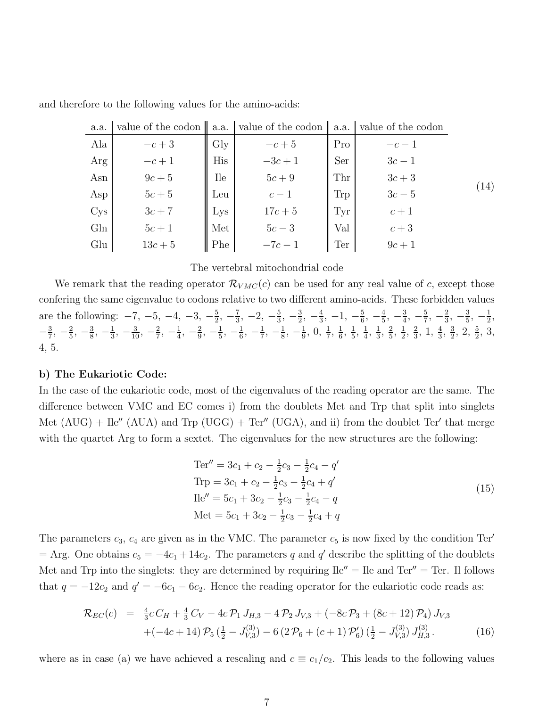| a.a.            | value of the codon $\ $ a.a. |                | $\vert$ value of the codon $\vert$ a.a. |     | value of the codon |      |
|-----------------|------------------------------|----------------|-----------------------------------------|-----|--------------------|------|
| Ala             | $-c+3$                       | $\mathrm{Gly}$ | $-c+5$                                  | Pro | $-c-1$             |      |
| Arg             | $-c+1$                       | His            | $-3c + 1$                               | Ser | $3c-1$             |      |
| Asn             | $9c+5$                       | <b>Ile</b>     | $5c+9$                                  | Thr | $3c+3$             |      |
| Asp             | $5c+5$                       | Leu            | $c-1$                                   | Trp | $3c-5$             | (14) |
| C <sub>ys</sub> | $3c+7$                       | Lys            | $17c + 5$                               | Tyr | $c+1$              |      |
| G <sub>ln</sub> | $5c+1$                       | Met            | $5c-3$                                  | Val | $c+3$              |      |
| Glu             | $13c + 5$                    | Phe            | $-7c - 1$                               | Ter | $9c+1$             |      |

and therefore to the following values for the amino-acids:

#### The vertebral mitochondrial code

We remark that the reading operator  $\mathcal{R}_{VMC}(c)$  can be used for any real value of c, except those confering the same eigenvalue to codons relative to two different amino-acids. These forbidden values are the following:  $-7, -5, -4, -3, -\frac{5}{2}$  $\frac{5}{2}, -\frac{7}{3}$  $\frac{7}{3}$ ,  $-2$ ,  $-\frac{5}{3}$  $\frac{5}{3}, -\frac{3}{2}$  $\frac{3}{2}, -\frac{4}{3}$  $\frac{4}{3}$ , -1, - $\frac{5}{6}$  $\frac{5}{6}, -\frac{4}{5}$  $\frac{4}{5}, -\frac{3}{4}$  $\frac{3}{4}$ ,  $-\frac{5}{7}$  $\frac{5}{7}, -\frac{2}{3}$  $\frac{2}{3}, -\frac{3}{5}$  $\frac{3}{5}, -\frac{1}{2}$  $\frac{1}{2}$ ,  $-\frac{3}{7}$  $\frac{3}{7}, -\frac{2}{5}$  $\frac{2}{5}, -\frac{3}{8}$  $\frac{3}{8}, -\frac{1}{3}$  $\frac{1}{3}, -\frac{3}{10}, -\frac{2}{7}$  $\frac{2}{7}, -\frac{1}{4}$  $\frac{1}{4}$ ,  $-\frac{2}{9}$  $\frac{2}{9}, -\frac{1}{5}$  $\frac{1}{5}, -\frac{1}{6}$  $\frac{1}{6}, -\frac{1}{7}$  $\frac{1}{7}, -\frac{1}{8}$  $\frac{1}{8}, -\frac{1}{9}$  $\frac{1}{9}, 0, \frac{1}{7}, \frac{1}{6}$  $\frac{1}{6}, \frac{1}{5}$  $\frac{1}{5}, \frac{1}{4}$  $\frac{1}{4}$ ,  $\frac{1}{3}$  $\frac{1}{3}$ ,  $\frac{2}{5}$  $\frac{2}{5}, \frac{1}{2}$  $\frac{1}{2}$ ,  $\frac{2}{3}$  $\frac{2}{3}$ , 1,  $\frac{4}{3}$ ,  $\frac{3}{2}$  $\frac{3}{2}$ , 2,  $\frac{5}{2}$ , 3, 4, 5.

### b) The Eukariotic Code:

In the case of the eukariotic code, most of the eigenvalues of the reading operator are the same. The difference between VMC and EC comes i) from the doublets Met and Trp that split into singlets Met  $(AUG) + Ile'' (AUA)$  and Trp  $(UGG) + Ter'' (UGA)$ , and ii) from the doublet Ter' that merge with the quartet Arg to form a sextet. The eigenvalues for the new structures are the following:

$$
\begin{aligned}\n\text{Ter}'' &= 3c_1 + c_2 - \frac{1}{2}c_3 - \frac{1}{2}c_4 - q' \\
\text{Trp} &= 3c_1 + c_2 - \frac{1}{2}c_3 - \frac{1}{2}c_4 + q' \\
\text{Ile}'' &= 5c_1 + 3c_2 - \frac{1}{2}c_3 - \frac{1}{2}c_4 - q \\
\text{Met} &= 5c_1 + 3c_2 - \frac{1}{2}c_3 - \frac{1}{2}c_4 + q\n\end{aligned}\n\tag{15}
$$

The parameters  $c_3$ ,  $c_4$  are given as in the VMC. The parameter  $c_5$  is now fixed by the condition Ter'  $=$  Arg. One obtains  $c_5 = -4c_1 + 14c_2$ . The parameters q and q' describe the splitting of the doublets Met and Trp into the singlets: they are determined by requiring  $\text{I} \cdot \text{I} = \text{I} \cdot \text{I} = \text{I} \cdot \text{I} = \text{I} \cdot \text{I} = \text{I} \cdot \text{I} \cdot \text{I} = \text{I} \cdot \text{I} \cdot \text{I} \cdot \text{I} = \text{I} \cdot \text{I} \cdot \text{I} \cdot \text{I} \cdot \text{I} \cdot \text{I} \cdot \text{I} \cdot \text{I} \cdot \$ that  $q = -12c_2$  and  $q' = -6c_1 - 6c_2$ . Hence the reading operator for the eukariotic code reads as:

$$
\mathcal{R}_{EC}(c) = \frac{4}{3}cC_H + \frac{4}{3}C_V - 4c\mathcal{P}_1 J_{H,3} - 4\mathcal{P}_2 J_{V,3} + (-8c\mathcal{P}_3 + (8c + 12)\mathcal{P}_4) J_{V,3} + (-4c + 14)\mathcal{P}_5(\frac{1}{2} - J_{V,3}^{(3)}) - 6(2\mathcal{P}_6 + (c + 1)\mathcal{P}_6')(\frac{1}{2} - J_{V,3}^{(3)})J_{H,3}^{(3)}.
$$
(16)

where as in case (a) we have achieved a rescaling and  $c \equiv c_1/c_2$ . This leads to the following values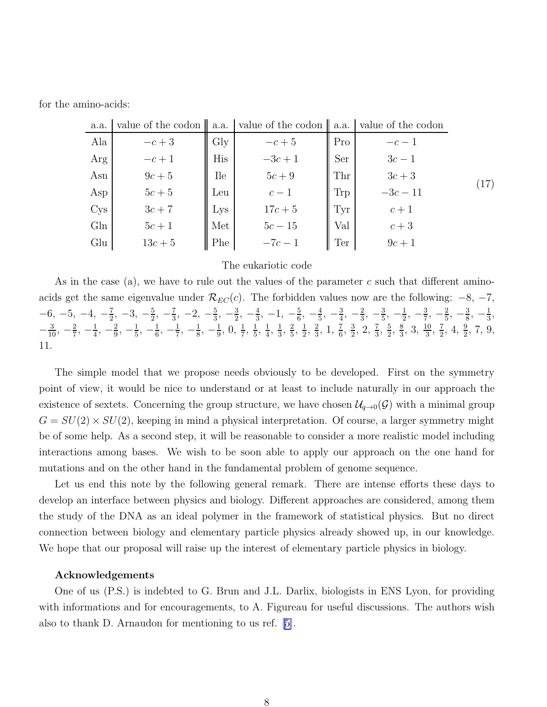for the amino-acids:

| a.a.            |           |            | value of the codon $\ $ a.a. value of the codon $\ $ a.a. value of the codon |     |            |                    |
|-----------------|-----------|------------|------------------------------------------------------------------------------|-----|------------|--------------------|
| Ala             | $-c+3$    | $\rm\,Gly$ |                                                                              | Pro | $-c-1$     |                    |
| Arg             | $-c+1$    | His        | $-c+5$<br>$-3c+1$                                                            | Ser | $3c-1$     |                    |
| Asn             | $9c+5$    | Ile        | $5c + 9$                                                                     | Thr | $3c+3$     |                    |
| Asp             | $5c+5$    | Leu        | $c-1$                                                                        | Trp | $-3c - 11$ | $\left( 17\right)$ |
| C <sub>YS</sub> | $3c+7$    | Lys        | $17c + 5$                                                                    | Tyr | $c+1$      |                    |
| Gln             | $5c+1$    | Met        | $5c - 15$                                                                    | Val | $c+3$      |                    |
| Glu             | $13c + 5$ | Phe        | $-7c-1$                                                                      | Ter | $9c+1$     |                    |

#### The eukariotic code

As in the case (a), we have to rule out the values of the parameter c such that different aminoacids get the same eigenvalue under  $\mathcal{R}_{EC}(c)$ . The forbidden values now are the following:  $-8$ ,  $-7$ ,  $-6, -5, -4, -\frac{7}{2}$  $\frac{7}{2}$ ,  $-3$ ,  $-\frac{5}{2}$  $\frac{5}{2}, -\frac{7}{3}$  $\frac{7}{3}$ ,  $-2$ ,  $-\frac{5}{3}$  $\frac{5}{3}, -\frac{3}{2}$  $\frac{3}{2}, -\frac{4}{3}$  $\frac{4}{3}$ , -1, - $\frac{5}{6}$  $\frac{5}{6}, -\frac{4}{5}$  $\frac{4}{5}, -\frac{3}{4}$  $\frac{3}{4}$ ,  $-\frac{2}{3}$  $\frac{2}{3}, -\frac{3}{5}$  $\frac{3}{5}, -\frac{1}{2}$  $\frac{1}{2}$ ,  $-\frac{3}{7}$  $\frac{3}{7}, -\frac{2}{5}$  $\frac{2}{5}, -\frac{3}{8}$  $\frac{3}{8}, -\frac{1}{3}$  $\frac{1}{3}$ ,  $-\frac{3}{10}, -\frac{2}{7}$  $\frac{2}{7}, -\frac{1}{4}$  $\frac{1}{4}$ ,  $-\frac{2}{9}$  $\frac{2}{9}, -\frac{1}{5}$  $\frac{1}{5}$ ,  $-\frac{1}{6}$  $\frac{1}{6}, -\frac{1}{7}$  $\frac{1}{7}, -\frac{1}{8}$  $\frac{1}{8}, -\frac{1}{9}$  $\frac{1}{9}, 0, \frac{1}{7}, \frac{1}{5}$  $\frac{1}{5}, \frac{1}{4}$  $\frac{1}{4}$ ,  $\frac{1}{3}$  $\frac{1}{3}$ ,  $\frac{2}{5}$  $\frac{2}{5}, \frac{1}{2}$  $\frac{1}{2}$ ,  $\frac{2}{3}$  $\frac{2}{3}$ , 1,  $\frac{7}{6}$ ,  $\frac{3}{2}$  $\frac{3}{2}$ , 2,  $\frac{7}{3}$ ,  $\frac{5}{2}$  $\frac{5}{2}$ ,  $\frac{8}{3}$  $\frac{8}{3}$ , 3,  $\frac{10}{3}$ ,  $\frac{7}{2}$  $\frac{7}{2}$ , 4,  $\frac{9}{2}$ , 7, 9, 11.

The simple model that we propose needs obviously to be developed. First on the symmetry point of view, it would be nice to understand or at least to include naturally in our approach the existence of sextets. Concerning the group structure, we have chosen  $\mathcal{U}_{q\to 0}(\mathcal{G})$  with a minimal group  $G = SU(2) \times SU(2)$ , keeping in mind a physical interpretation. Of course, a larger symmetry might be of some help. As a second step, it will be reasonable to consider a more realistic model including interactions among bases. We wish to be soon able to apply our approach on the one hand for mutations and on the other hand in the fundamental problem of genome sequence.

Let us end this note by the following general remark. There are intense efforts these days to develop an interface between physics and biology. Different approaches are considered, among them the study of the DNA as an ideal polymer in the framework of statistical physics. But no direct connection between biology and elementary particle physics already showed up, in our knowledge. We hope that our proposal will raise up the interest of elementary particle physics in biology.

#### Acknowledgements

One of us (P.S.) is indebted to G. Brun and J.L. Darlix, biologists in ENS Lyon, for providing with informations and for encouragements, to A. Figureau for useful discussions. The authors wish also to thank D. Arnaudon for mentioning to us ref.[[5\]](#page-11-0).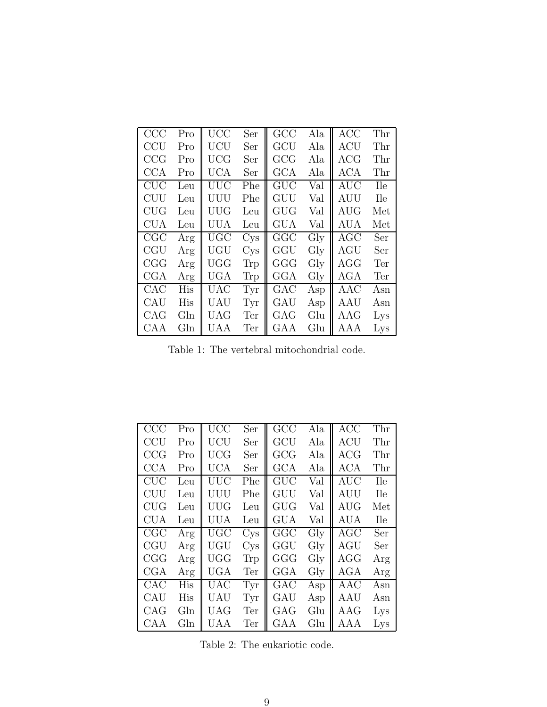<span id="page-9-0"></span>

| CCC        | Pro | UCC        | Ser             | GCC          | Ala            | ACC        | Thr        |
|------------|-----|------------|-----------------|--------------|----------------|------------|------------|
| <b>CCU</b> | Pro | UCU        | Ser             | GCU          | Ala            | ACU        | Thr        |
| CCG        | Pro | <b>UCG</b> | Ser             | GCG          | Ala            | ACG        | Thr        |
| <b>CCA</b> | Pro | UCA        | Ser             | GCA          | Ala            | ACA        | Thr        |
| CUC        | Leu | UUC        | Phe             | GUC          | Val            | AUC        | <b>Ile</b> |
| <b>CUU</b> | Leu | UUU        | Phe             | GUU          | Val            | AUU        | <b>Ile</b> |
| CUG        | Leu | UUG        | Leu             | GUG          | Val            | AUG        | Met        |
| <b>CUA</b> | Leu | <b>UUA</b> | Leu             | <b>GUA</b>   | Val            | <b>AUA</b> | Met        |
|            |     |            |                 |              |                |            |            |
| CGC        | Arg | <b>UGC</b> | Cys             | GGC          | $\mathrm{Gly}$ | AGC        | Ser        |
| <b>CGU</b> | Arg | UGU        | C <sub>YS</sub> | GGU          | $\mathrm{Gly}$ | AGU        | Ser        |
| CGG        | Arg | <b>UGG</b> | Trp             | GGG          | $\mathrm{Gly}$ | $\rm{AGG}$ | Ter        |
| CGA        | Arg | UGA        | Trp             | $_{\rm GGA}$ | $\mathrm{Gly}$ | AGA        | Ter        |
| CAC        | His | <b>UAC</b> | Tyr             | GAC          | Asp            | AAC        | Asn        |
| CAU        | His | UAU        | Tyr             | GAU          | Asp            | AAU        | Asn        |
| CAG        | Gln | <b>UAG</b> | Ter             | GAG          | Glu            | AAG        | Lys        |

Table 1: The vertebral mitochondrial code.

| CCC        | Pro             | UCC        | Ser             | GCC        | Ala            | <b>ACC</b> | Thr        |
|------------|-----------------|------------|-----------------|------------|----------------|------------|------------|
| CCU        | Pro             | <b>UCU</b> | Ser             | GCU        | Ala            | <b>ACU</b> | Thr        |
| CCG        | Pro             | <b>UCG</b> | Ser             | GCG        | Ala            | ${ACG}$    | Thr        |
| <b>CCA</b> | Pro             | UCA        | Ser             | GCA        | Ala            | ACA        | Thr        |
| CUC        | Leu             | UUC        | Phe             | GUC        | Val            | <b>AUC</b> | <b>Ile</b> |
| <b>CUU</b> | Leu             | UUU        | Phe             | GUU        | Val            | AUU        | <b>Ile</b> |
| CUG        | Leu             | <b>UUG</b> | Leu             | <b>GUG</b> | Val            | $\rm{AUG}$ | Met        |
| <b>CUA</b> | Leu             | UUA        | Leu             | <b>GUA</b> | Val            | <b>AUA</b> | <b>Ile</b> |
| CGC        | Arg             | UGC        | C <sub>YS</sub> | GGC        | $\mathrm{Gly}$ | <b>AGC</b> | Ser        |
| <b>CGU</b> | Arg             | UGU        | C <sub>YS</sub> | GGU        | Gly            | AGU        | Ser        |
| CGG        | Arg             | <b>UGG</b> | Trp             | GGG        | Gly            | $\rm{AGG}$ | Arg        |
| CGA        | Arg             | UGA        | Ter             | GGA        | Gly            | <b>AGA</b> | Arg        |
| CAC        | His             | <b>UAC</b> | Tyr             | GAC        | Asp            | AAC        | Asn        |
| CAU        | His             | UAU        | Tyr             | GAU        | Asp            | AAU        | Asn        |
| CAG        | G <sub>ln</sub> | <b>UAG</b> | Ter             | GAG        | Glu            | AAG        | Lys        |
| CAA        | G <sub>ln</sub> | UAA        | Ter             | GAA        | Glu            | AAA        | Lys        |

Table 2: The eukariotic code.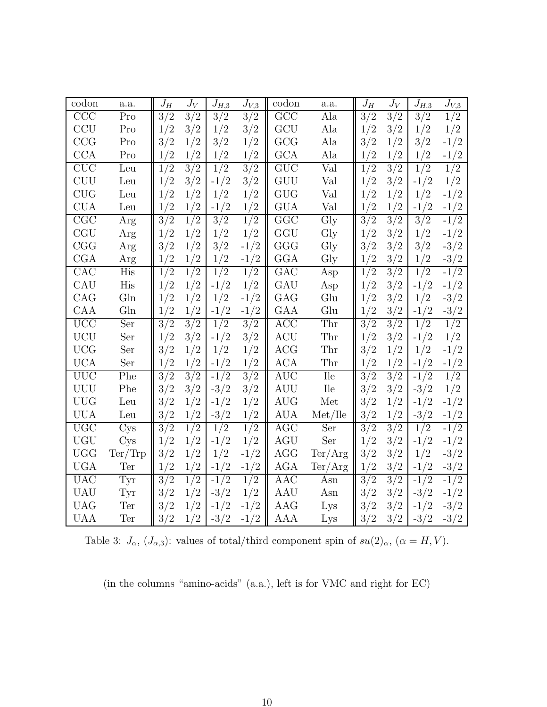| codon                   | a.a.            | $J_H$            | $J_V$         | $J_{H,\underline{3}}$ | $J_{V,3}$        | codon                | a.a.                       | $J_H$            | $J_V$            | $J_{H,3}$        | $J_{V,\underline{3}}$ |
|-------------------------|-----------------|------------------|---------------|-----------------------|------------------|----------------------|----------------------------|------------------|------------------|------------------|-----------------------|
| CCC                     | Pro             | 3/2              | 3/2           | 3/2                   | 3/2              | GCC                  | Ala                        | 3/2              | 3/2              | 3/2              | 1/2                   |
| <b>CCU</b>              | Pro             | 1/2              | 3/2           | 1/2                   | 3/2              | GCU                  | Ala                        | 1/2              | 3/2              | 1/2              | 1/2                   |
| CCG                     | Pro             | 3/2              | 1/2           | 3/2                   | 1/2              | GCG                  | Ala                        | 3/2              | 1/2              | 3/2              | $-1/2$                |
| CCA                     | Pro             | 1/2              | 1/2           | 1/2                   | 1/2              | <b>GCA</b>           | Ala                        | 1/2              | 1/2              | 1/2              | $-1/2$                |
| CUC                     | Leu             | 1/2              | $\frac{3}{2}$ | $\frac{1}{2}$         | $\frac{3}{2}$    | GUC                  | Val                        | 1/2              | 3/2              | $\overline{1/2}$ | 1/2                   |
| CUU                     | Leu             | 1/2              | 3/2           | $-1/2$                | 3/2              | GUU                  | Val                        | 1/2              | 3/2              | $-1/2$           | 1/2                   |
| <b>CUG</b>              | Leu             | 1/2              | 1/2           | 1/2                   | 1/2              | <b>GUG</b>           | Val                        | 1/2              | 1/2              | 1/2              | $-1/2$                |
| <b>CUA</b>              | Leu             | 1/2              | 1/2           | $-1/2$                | 1/2              | <b>GUA</b>           | Val                        | 1/2              | 1/2              | $-1/2$           | $-1/2$                |
| $\overline{\text{CGC}}$ | Arg             | $\overline{3/2}$ | $\frac{1}{2}$ | 3/2                   | $\frac{1}{2}$    | GGC                  | $\overline{Gly}$           | $\overline{3/2}$ | $\overline{3/2}$ | $\frac{3}{2}$    | $-1/2$                |
| CGU                     | Arg             | 1/2              | 1/2           | 1/2                   | 1/2              | GGU                  | Gly                        | 1/2              | 3/2              | 1/2              | $-1/2$                |
| CGG                     | Arg             | 3/2              | 1/2           | 3/2                   | $-1/2$           | GGG                  | Gly                        | 3/2              | 3/2              | 3/2              | $-3/2$                |
| CGA                     | Arg             | 1/2              | 1/2           | 1/2                   | $-1/2$           | GGA                  | Gly                        | 1/2              | 3/2              | 1/2              | $-3/2$                |
| CAC                     | His             | $\frac{1}{2}$    | $\frac{1}{2}$ | $\frac{1}{2}$         | 1/2              | GAC                  | Asp                        | $\frac{1}{2}$    | $\frac{3}{2}$    | $\overline{1/2}$ | $-1/2$                |
| CAU                     | His             | 1/2              | 1/2           | $-1/2$                | 1/2              | GAU                  | Asp                        | 1/2              | 3/2              | $-1/2$           | $-1/2$                |
| CAG                     | Gln             | 1/2              | 1/2           | 1/2                   | $-1/2$           | GAG                  | Glu                        | 1/2              | 3/2              | 1/2              | $-3/2$                |
| CAA                     | Gln             | 1/2              | 1/2           | $-1/2$                | $-1/2$           | GAA                  | Glu                        | 1/2              | 3/2              | $-1/2$           | $-3/2$                |
| UCC                     | Ser             | 3/2              | 3/2           | $\overline{1/2}$      | $\overline{3/2}$ | <b>ACC</b>           | Thr                        | $\overline{3/2}$ | $\overline{3/2}$ | $\frac{1}{2}$    | $\frac{1}{2}$         |
| <b>UCU</b>              | Ser             | 1/2              | 3/2           | $-1/2$                | 3/2              | <b>ACU</b>           | Thr                        | 1/2              | 3/2              | $-1/2$           | 1/2                   |
| <b>UCG</b>              | Ser             | 3/2              | 1/2           | 1/2                   | 1/2              | <b>ACG</b>           | Thr                        | 3/2              | 1/2              | 1/2              | $-1/2$                |
| <b>UCA</b>              | Ser             | 1/2              | 1/2           | $-1/2$                | 1/2              | ACA                  | Thr                        | 1/2              | 1/2              | $-1/2$           | $-1/2$                |
| <b>UUC</b>              | Phe             | $\overline{3/2}$ | 3/2           | $-1/2$                | $\sqrt{3}/2$     | $\rm AUC$            | $\mathop{\rm He}\nolimits$ | $\overline{3/2}$ | $\overline{3/2}$ | $-1/2$           | 1/2                   |
| <b>UUU</b>              | Phe             | 3/2              | 3/2           | $-3/2$                | 3/2              | AUU                  | Ile                        | 3/2              | 3/2              | $-3/2$           | 1/2                   |
| <b>UUG</b>              | Leu             | 3/2              | 1/2           | $-1/2$                | 1/2              | $\operatorname{AUG}$ | Met                        | 3/2              | 1/2              | $-1/2$           | $-1/2$                |
| <b>UUA</b>              | Leu             | 3/2              | 1/2           | $-3/2$                | 1/2              | <b>AUA</b>           | Met/He                     | 3/2              | 1/2              | $-3/2$           | $-1/2$                |
| <b>UGC</b>              | C <sub>YS</sub> | 3/2              | $\frac{1}{2}$ | 1/2                   | $\frac{1}{2}$    | AGC                  | Ser                        | $\overline{3/2}$ | $\overline{3/2}$ | $\frac{1}{2}$    | $-1/2$                |
| <b>UGU</b>              | C <sub>YS</sub> | 1/2              | 1/2           | $-1/2$                | 1/2              | AGU                  | Ser                        | 1/2              | 3/2              | $-1/2$           | $-1/2$                |
| <b>UGG</b>              | Ter/Trp         | 3/2              | 1/2           | 1/2                   | $-1/2$           | AGG                  | Ter/Arg                    | 3/2              | 3/2              | 1/2              | $-3/2$                |
| <b>UGA</b>              | Ter             | 1/2              | 1/2           | $-1/2$                | $-1/2$           | AGA                  | Ter/Arg                    | 1/2              | 3/2              | $-1/2$           | $-3/2$                |
| <b>UAC</b>              | Tyr             | 3/2              | $\frac{1}{2}$ | $-1/2$                | 1/2              | AAC                  | Asn                        | 3/2              | $\overline{3/2}$ | $-1/2$           | $-1/2$                |
| <b>UAU</b>              | Tyr             | 3/2              | 1/2           | $-3/2$                | 1/2              | AAU                  | Asn                        | 3/2              | 3/2              | $-3/2$           | $-1/2$                |
| <b>UAG</b>              | Ter             | 3/2              | 1/2           | $-1/2$                | $-1/2$           | AAG                  | Lys                        | 3/2              | 3/2              | $-1/2$           | $-3/2$                |
| <b>UAA</b>              | <b>Ter</b>      | 3/2              | 1/2           | $-3/2$                | $-1/2$           | AAA                  | Lys                        | 3/2              | 3/2              | $-3/2$           | $-3/2$                |

Table 3:  $J_{\alpha}$ ,  $(J_{\alpha,3})$ : values of total/third component spin of  $su(2)_{\alpha}$ ,  $(\alpha = H, V)$ .

(in the columns "amino-acids" (a.a.), left is for VMC and right for EC)